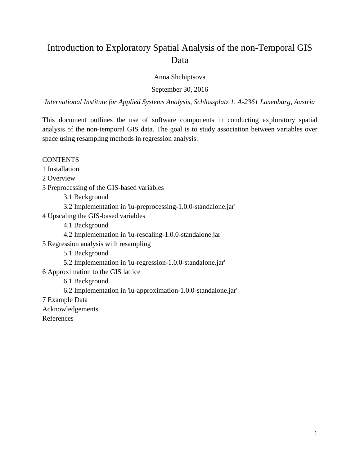# Introduction to Exploratory Spatial Analysis of the non-Temporal GIS Data

Anna Shchiptsova

September 30, 2016

*International Institute for Applied Systems Analysis, Schlossplatz 1, A-2361 Laxenburg, Austria*

This document outlines the use of software components in conducting exploratory spatial analysis of the non-temporal GIS data. The goal is to study association between variables over space using resampling methods in regression analysis.

**CONTENTS** 

1 Installation

2 Overview

3 Preprocessing of the GIS-based variables

3.1 Background

3.2 Implementation in 'lu-preprocessing-1.0.0-standalone.jar'

4 Upscaling the GIS-based variables

4.1 Background

4.2 Implementation in 'lu-rescaling-1.0.0-standalone.jar'

5 Regression analysis with resampling

5.1 Background

5.2 Implementation in 'lu-regression-1.0.0-standalone.jar'

6 Approximation to the GIS lattice

6.1 Background

6.2 Implementation in 'lu-approximation-1.0.0-standalone.jar'

7 Example Data

Acknowledgements

References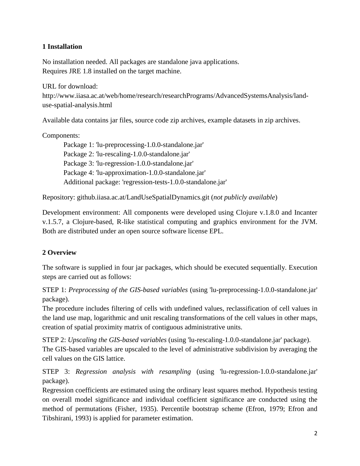# **1 Installation**

No installation needed. All packages are standalone java applications. Requires JRE 1.8 installed on the target machine.

URL for download: http://www.iiasa.ac.at/web/home/research/researchPrograms/AdvancedSystemsAnalysis/landuse-spatial-analysis.html

Available data contains jar files, source code zip archives, example datasets in zip archives.

# Components:

Package 1: 'lu-preprocessing-1.0.0-standalone.jar' Package 2: 'lu-rescaling-1.0.0-standalone.jar' Package 3: 'lu-regression-1.0.0-standalone.jar' Package 4: 'lu-approximation-1.0.0-standalone.jar' Additional package: 'regression-tests-1.0.0-standalone.jar'

Repository: github.iiasa.ac.at/LandUseSpatialDynamics.git (*not publicly available*)

Development environment: All components were developed using Clojure v.1.8.0 and Incanter v.1.5.7, a Clojure-based, R-like statistical computing and graphics environment for the JVM. Both are distributed under an open source software license EPL.

# **2 Overview**

The software is supplied in four jar packages, which should be executed sequentially. Execution steps are carried out as follows:

STEP 1: *Preprocessing of the GIS-based variables* (using 'lu-preprocessing-1.0.0-standalone.jar' package).

The procedure includes filtering of cells with undefined values, reclassification of cell values in the land use map, logarithmic and unit rescaling transformations of the cell values in other maps, creation of spatial proximity matrix of contiguous administrative units.

STEP 2: *Upscaling the GIS-based variables* (using 'lu-rescaling-1.0.0-standalone.jar' package). The GIS-based variables are upscaled to the level of administrative subdivision by averaging the cell values on the GIS lattice.

STEP 3: *Regression analysis with resampling* (using 'lu-regression-1.0.0-standalone.jar' package).

Regression coefficients are estimated using the ordinary least squares method. Hypothesis testing on overall model significance and individual coefficient significance are conducted using the method of permutations (Fisher, 1935). Percentile bootstrap scheme (Efron, 1979; Efron and Tibshirani, 1993) is applied for parameter estimation.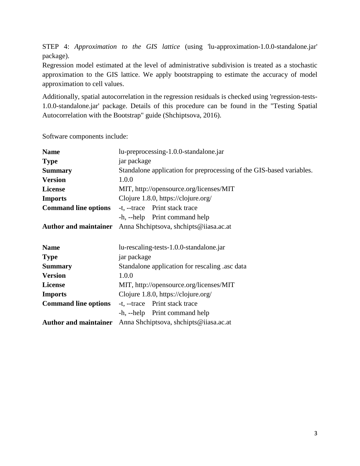STEP 4: *Approximation to the GIS lattice* (using 'lu-approximation-1.0.0-standalone.jar' package).

Regression model estimated at the level of administrative subdivision is treated as a stochastic approximation to the GIS lattice. We apply bootstrapping to estimate the accuracy of model approximation to cell values.

Additionally, spatial autocorrelation in the regression residuals is checked using 'regression-tests-1.0.0-standalone.jar' package. Details of this procedure can be found in the "Testing Spatial Autocorrelation with the Bootstrap" guide (Shchiptsova, 2016).

Software components include:

| <b>Name</b>                  | lu-preprocessing-1.0.0-standalone.jar                                |  |  |  |
|------------------------------|----------------------------------------------------------------------|--|--|--|
| <b>Type</b>                  | jar package                                                          |  |  |  |
| <b>Summary</b>               | Standalone application for preprocessing of the GIS-based variables. |  |  |  |
| <b>Version</b>               | 1.0.0                                                                |  |  |  |
| <b>License</b>               | MIT, http://opensource.org/licenses/MIT                              |  |  |  |
| <b>Imports</b>               | Clojure 1.8.0, https://clojure.org/                                  |  |  |  |
| <b>Command line options</b>  | -t, --trace Print stack trace                                        |  |  |  |
|                              | -h, --help Print command help                                        |  |  |  |
| <b>Author and maintainer</b> | Anna Shchiptsova, shchipts@iiasa.ac.at                               |  |  |  |
|                              |                                                                      |  |  |  |
| <b>Name</b>                  | lu-rescaling-tests-1.0.0-standalone.jar                              |  |  |  |
| <b>Type</b>                  | jar package                                                          |  |  |  |
| <b>Summary</b>               | Standalone application for rescaling asc data                        |  |  |  |
| <b>Version</b>               | 1.0.0                                                                |  |  |  |
| <b>License</b>               | MIT, http://opensource.org/licenses/MIT                              |  |  |  |
| <b>Imports</b>               | Clojure 1.8.0, https://clojure.org/                                  |  |  |  |
| <b>Command line options</b>  | -t, --trace Print stack trace                                        |  |  |  |
|                              | -h, --help Print command help                                        |  |  |  |
| <b>Author and maintainer</b> | Anna Shchiptsova, shchipts@iiasa.ac.at                               |  |  |  |
|                              |                                                                      |  |  |  |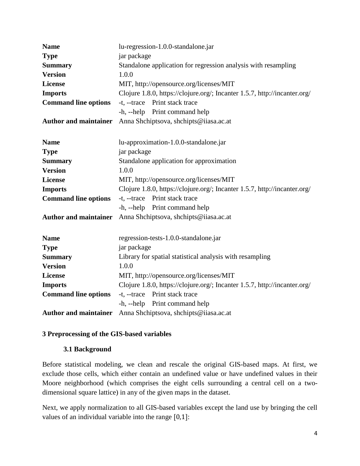| <b>Name</b>                  | lu-regression-1.0.0-standalone.jar                                        |  |  |  |
|------------------------------|---------------------------------------------------------------------------|--|--|--|
| <b>Type</b>                  | jar package                                                               |  |  |  |
| <b>Summary</b>               | Standalone application for regression analysis with resampling            |  |  |  |
| <b>Version</b>               | 1.0.0                                                                     |  |  |  |
| <b>License</b>               | MIT, http://opensource.org/licenses/MIT                                   |  |  |  |
| <b>Imports</b>               | Clojure 1.8.0, https://clojure.org/; Incanter 1.5.7, http://incanter.org/ |  |  |  |
| <b>Command line options</b>  | -t, --trace Print stack trace                                             |  |  |  |
|                              | -h, --help Print command help                                             |  |  |  |
| <b>Author and maintainer</b> | Anna Shchiptsova, shchipts@iiasa.ac.at                                    |  |  |  |
|                              |                                                                           |  |  |  |
| <b>Name</b>                  | lu-approximation-1.0.0-standalone.jar                                     |  |  |  |
| <b>Type</b>                  | jar package                                                               |  |  |  |
| <b>Summary</b>               | Standalone application for approximation                                  |  |  |  |
| <b>Version</b>               | 1.0.0                                                                     |  |  |  |
| <b>License</b>               | MIT, http://opensource.org/licenses/MIT                                   |  |  |  |
| <b>Imports</b>               | Clojure 1.8.0, https://clojure.org/; Incanter 1.5.7, http://incanter.org/ |  |  |  |
| <b>Command line options</b>  | Print stack trace<br>$-t$ , $-$ trace                                     |  |  |  |
|                              | -h, --help Print command help                                             |  |  |  |
| <b>Author and maintainer</b> | Anna Shchiptsova, shchipts@iiasa.ac.at                                    |  |  |  |
| <b>Name</b>                  | regression-tests-1.0.0-standalone.jar                                     |  |  |  |
| <b>Type</b>                  | jar package                                                               |  |  |  |
| <b>Summary</b>               | Library for spatial statistical analysis with resampling                  |  |  |  |
| <b>Version</b>               | 1.0.0                                                                     |  |  |  |
| <b>License</b>               | MIT, http://opensource.org/licenses/MIT                                   |  |  |  |
| <b>Imports</b>               | Clojure 1.8.0, https://clojure.org/; Incanter 1.5.7, http://incanter.org/ |  |  |  |
| <b>Command line options</b>  | -t, --trace Print stack trace                                             |  |  |  |
|                              | -h, --help Print command help                                             |  |  |  |
| <b>Author and maintainer</b> | Anna Shchiptsova, shchipts@iiasa.ac.at                                    |  |  |  |
|                              |                                                                           |  |  |  |

# **3 Preprocessing of the GIS-based variables**

# **3.1 Background**

Before statistical modeling, we clean and rescale the original GIS-based maps. At first, we exclude those cells, which either contain an undefined value or have undefined values in their Moore neighborhood (which comprises the eight cells surrounding a central cell on a twodimensional square lattice) in any of the given maps in the dataset.

Next, we apply normalization to all GIS-based variables except the land use by bringing the cell values of an individual variable into the range [0,1]: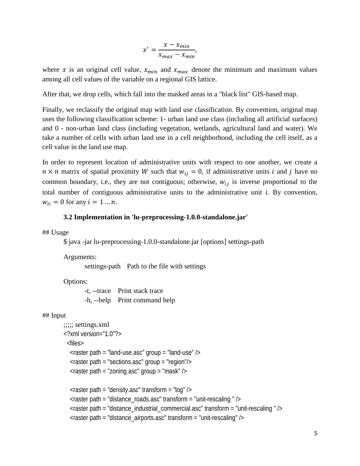$$
x' = \frac{x - x_{min}}{x_{max} - x_{min}},
$$

where x is an original cell value,  $x_{min}$  and  $x_{max}$  denote the minimum and maximum values among all cell values of the variable on a regional GIS lattice.

After that, we drop cells, which fall into the masked areas in a "black list" GIS-based map.

Finally, we reclassify the original map with land use classification. By convention, original map uses the following classification scheme: 1- urban land use class (including all artificial surfaces) and 0 - non-urban land class (including vegetation, wetlands, agricultural land and water). We take a number of cells with urban land use in a cell neighborhood, including the cell itself, as a cell value in the land use map.

In order to represent location of administrative units with respect to one another, we create a  $n \times n$  matrix of spatial proximity W such that  $w_{ij} = 0$ , if administrative units *i* and *j* have no common boundary, i.e., they are not contiguous; otherwise,  $w_{ij}$  is inverse proportional to the total number of contiguous administrative units to the administrative unit  $i$ . By convention,  $w_{ii} = 0$  for any  $i = 1 ... n$ .

### **3.2 Implementation in 'lu-preprocessing-1.0.0-standalone.jar'**

## Usage

\$ java -jar lu-preprocessing-1.0.0-standalone.jar [options] settings-path

Arguments:

settings-path Path to the file with settings

Options:

-t, --trace Print stack trace -h, --help Print command help

#### ## Input

```
;;;;; settings.xml
<?xml version="1.0"?>
  <files>
   \epsilon -raster path = "land-use.asc" group = "land-use" />
   <raster path = "sections.asc" group = "region"/>
  \epsilon -raster path = "zoning.asc" group = "mask" />
  \alpha < raster path = "density.asc" transform = "log" />
  \epsilon -raster path = "distance roads.asc" transform = "unit-rescaling " />
   <raster path = "distance_industrial_commercial.asc" transform = "unit-rescaling " />
   <raster path = "distance_airports.asc" transform = "unit-rescaling" />
```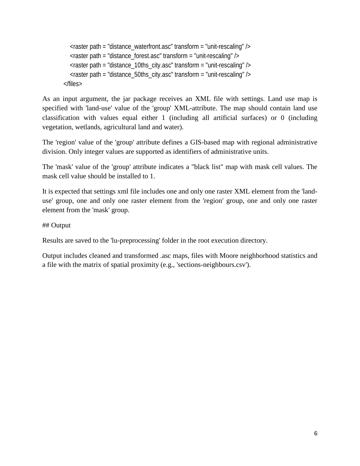```
\epsilon -raster path = "distance_waterfront.asc" transform = "unit-rescaling" />
  \epsilon -raster path = "distance_forest.asc" transform = "unit-rescaling" />
  \epsilon -raster path = "distance 10ths city.asc" transform = "unit-rescaling" />
  \epsilon -raster path = "distance_50ths_city.asc" transform = "unit-rescaling" />
 </files>
```
As an input argument, the jar package receives an XML file with settings. Land use map is specified with 'land-use' value of the 'group' XML-attribute. The map should contain land use classification with values equal either 1 (including all artificial surfaces) or 0 (including vegetation, wetlands, agricultural land and water).

The 'region' value of the 'group' attribute defines a GIS-based map with regional administrative division. Only integer values are supported as identifiers of administrative units.

The 'mask' value of the 'group' attribute indicates a "black list" map with mask cell values. The mask cell value should be installed to 1.

It is expected that settings xml file includes one and only one raster XML element from the 'landuse' group, one and only one raster element from the 'region' group, one and only one raster element from the 'mask' group.

## Output

Results are saved to the 'lu-preprocessing' folder in the root execution directory.

Output includes cleaned and transformed .asc maps, files with Moore neighborhood statistics and a file with the matrix of spatial proximity (e.g., 'sections-neighbours.csv').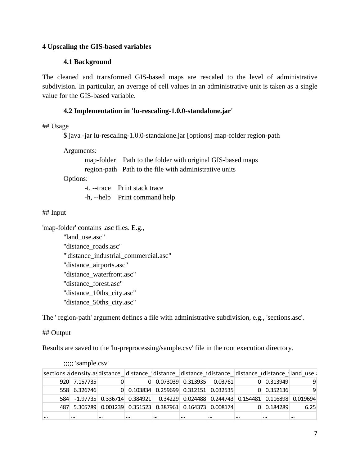## **4 Upscaling the GIS-based variables**

# **4.1 Background**

The cleaned and transformed GIS-based maps are rescaled to the level of administrative subdivision. In particular, an average of cell values in an administrative unit is taken as a single value for the GIS-based variable.

# **4.2 Implementation in 'lu-rescaling-1.0.0-standalone.jar'**

## Usage

\$ java -jar lu-rescaling-1.0.0-standalone.jar [options] map-folder region-path

Arguments:

map-folder Path to the folder with original GIS-based maps region-path Path to the file with administrative units

Options:

-t, --trace Print stack trace -h, --help Print command help

### ## Input

'map-folder' contains .asc files. E.g.,

"land\_use.asc" "distance\_roads.asc" "'distance\_industrial\_commercial.asc" "distance\_airports.asc" "distance\_waterfront.asc" "distance\_forest.asc" "distance\_10ths\_city.asc" "distance\_50ths\_city.asc"

The ' region-path' argument defines a file with administrative subdivision, e.g., 'sections.asc'.

### ## Output

Results are saved to the 'lu-preprocessing/sample.csv' file in the root execution directory.

|          | $\ddotsc$                                                 |          |                                         |          |          |                               |                    |                                                                                               |
|----------|-----------------------------------------------------------|----------|-----------------------------------------|----------|----------|-------------------------------|--------------------|-----------------------------------------------------------------------------------------------|
|          |                                                           |          |                                         |          |          |                               |                    | sections.adensity.asdistance_distance_distance_distance_distance_distance_distance_dand_use.a |
|          | 920 7.157735                                              |          |                                         |          |          | $0$ 0.073039 0.313935 0.03761 | $0$ 0.313949       |                                                                                               |
|          | 558 6.326746                                              |          | $0$ 0.103834 0.259699 0.312151 0.032535 |          |          |                               | $0 \quad 0.352136$ | 9                                                                                             |
|          |                                                           |          |                                         |          |          |                               |                    | 584 -1.97735 0.336714 0.384921 0.34229 0.024488 0.244743 0.154481 0.116898 0.019694           |
|          | 487 5.305789 0.001239 0.351523 0.387961 0.164373 0.008174 |          |                                         |          |          |                               | 0 0.184289         | 6.25                                                                                          |
| $\cdots$ | $\cdots$                                                  | $\cdots$ | $\cdots$                                | $\cdots$ | $\cdots$ | $\cdots$                      | <br>$\cdots$       | $\cdots$                                                                                      |

;;;;; 'sample.csv'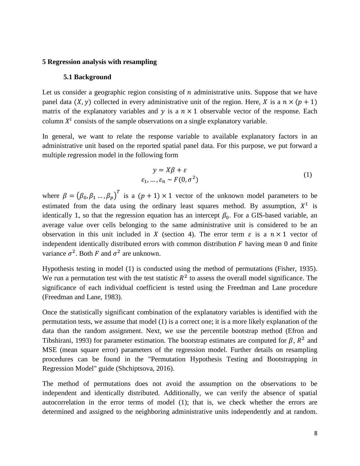#### **5 Regression analysis with resampling**

#### **5.1 Background**

Let us consider a geographic region consisting of  $n$  administrative units. Suppose that we have panel data  $(X, y)$  collected in every administrative unit of the region. Here, X is a  $n \times (p + 1)$ matrix of the explanatory variables and  $y$  is a  $n \times 1$  observable vector of the response. Each column  $X^i$  consists of the sample observations on a single explanatory variable.

In general, we want to relate the response variable to available explanatory factors in an administrative unit based on the reported spatial panel data. For this purpose, we put forward a multiple regression model in the following form

$$
y = X\beta + \varepsilon
$$
  
\n
$$
\varepsilon_1, \dots, \varepsilon_n \sim F(0, \sigma^2)
$$
 (1)

where  $\beta = (\beta_0, \beta_1, ..., \beta_p)^T$  is a  $(p + 1) \times 1$  vector of the unknown model parameters to be estimated from the data using the ordinary least squares method. By assumption,  $X^1$  is identically 1, so that the regression equation has an intercept  $\beta_0$ . For a GIS-based variable, an average value over cells belonging to the same administrative unit is considered to be an observation in this unit included in X (section 4). The error term  $\varepsilon$  is a  $n \times 1$  vector of independent identically distributed errors with common distribution  $F$  having mean 0 and finite variance  $\sigma^2$ . Both F and  $\sigma^2$  are unknown.

Hypothesis testing in model (1) is conducted using the method of permutations (Fisher, 1935). We run a permutation test with the test statistic  $R^2$  to assess the overall model significance. The significance of each individual coefficient is tested using the Freedman and Lane procedure (Freedman and Lane, 1983).

Once the statistically significant combination of the explanatory variables is identified with the permutation tests, we assume that model (1) is a correct one; it is a more likely explanation of the data than the random assignment. Next, we use the percentile bootstrap method (Efron and Tibshirani, 1993) for parameter estimation. The bootstrap estimates are computed for  $\beta$ ,  $R^2$  and MSE (mean square error) parameters of the regression model. Further details on resampling procedures can be found in the "Permutation Hypothesis Testing and Bootstrapping in Regression Model" guide (Shchiptsova, 2016).

The method of permutations does not avoid the assumption on the observations to be independent and identically distributed. Additionally, we can verify the absence of spatial autocorrelation in the error terms of model (1); that is, we check whether the errors are determined and assigned to the neighboring administrative units independently and at random.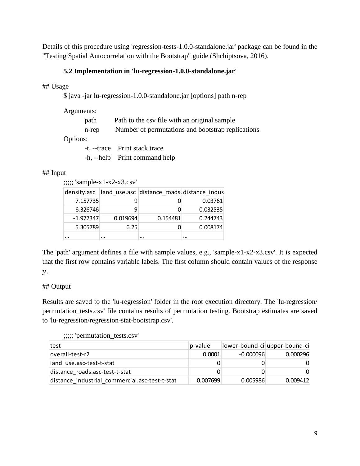Details of this procedure using 'regression-tests-1.0.0-standalone.jar' package can be found in the "Testing Spatial Autocorrelation with the Bootstrap" guide (Shchiptsova, 2016).

# **5.2 Implementation in 'lu-regression-1.0.0-standalone.jar'**

## Usage

\$ java -jar lu-regression-1.0.0-standalone.jar [options] path n-rep

| Arguments: |                                                   |
|------------|---------------------------------------------------|
| path       | Path to the csy file with an original sample      |
| n-rep      | Number of permutations and bootstrap replications |
| Options:   |                                                   |
|            | -t, --trace Print stack trace                     |
|            |                                                   |

### -h, --help Print command help

# ## Input

;;;;; 'sample-x1-x2-x3.csv'

|             |          | density.asc  land_use.asc  distance_roads.distance_indus |          |
|-------------|----------|----------------------------------------------------------|----------|
| 7.157735    |          |                                                          | 0.03761  |
| 6.326746    | q        |                                                          | 0.032535 |
| $-1.977347$ | 0.019694 | 0.154481                                                 | 0.244743 |
| 5.305789    | 6.25     |                                                          | 0.008174 |
|             |          |                                                          | $\cdots$ |

The 'path' argument defines a file with sample values, e.g., 'sample-x1-x2-x3.csv'. It is expected that the first row contains variable labels. The first column should contain values of the response  $\mathcal{Y}$ .

# ## Output

Results are saved to the 'lu-regression' folder in the root execution directory. The 'lu-regression/ permutation\_tests.csv' file contains results of permutation testing. Bootstrap estimates are saved to 'lu-regression/regression-stat-bootstrap.csv'.

# ;;;;; 'permutation\_tests.csv'

| test                                           | p-value  |             | lower-bound-ci upper-bound-ci |
|------------------------------------------------|----------|-------------|-------------------------------|
| overall-test-r2                                | 0.0001   | $-0.000096$ | 0.000296                      |
| land use.asc-test-t-stat                       |          |             |                               |
| distance roads.asc-test-t-stat                 |          |             | 0                             |
| distance industrial commercial.asc-test-t-stat | 0.007699 | 0.005986    | 0.009412                      |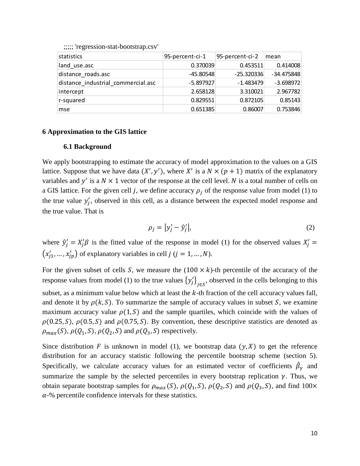| statistics                         | 95-percent-ci-1 | 95-percent-ci-2 | mean         |
|------------------------------------|-----------------|-----------------|--------------|
| land use.asc                       | 0.370039        | 0.453511        | 0.414008     |
| distance roads.asc                 | $-45.80548$     | $-25.320336$    | $-34.475848$ |
| distance industrial commercial.asc | $-5.897927$     | $-1.483479$     | $-3.698972$  |
| intercept                          | 2.658128        | 3.310021        | 2.967782     |
| r-squared                          | 0.829551        | 0.872105        | 0.85143      |
| mse                                | 0.651385        | 0.86007         | 0.753846     |

;;;;; 'regression-stat-bootstrap.csv'

#### **6 Approximation to the GIS lattice**

### **6.1 Background**

We apply bootstrapping to estimate the accuracy of model approximation to the values on a GIS lattice. Suppose that we have data  $(X', y')$ , where X' is a  $N \times (p + 1)$  matrix of the explanatory variables and  $y'$  is a  $N \times 1$  vector of the response at the cell level. N is a total number of cells on a GIS lattice. For the given cell j, we define accuracy  $\rho_i$  of the response value from model (1) to the true value  $y'_j$ , observed in this cell, as a distance between the expected model response and the true value. That is

$$
\rho_j = |y'_j - \hat{y}'_j|,\tag{2}
$$

where  $\hat{y}'_j = X'_j \beta$  is the fitted value of the response in model (1) for the observed values  $X'_j$  =  $(x'_j_1, ..., x'_j_p)$  of explanatory variables in cell  $j$   $(j = 1, ..., N)$ .

For the given subset of cells S, we measure the  $(100 \times k)$ -th percentile of the accuracy of the response values from model (1) to the true values  ${y'_j}_{j \in S}$ , observed in the cells belonging to this subset, as a minimum value below which at least the  $k$ -th fraction of the cell accuracy values fall, and denote it by  $\rho(k, S)$ . To summarize the sample of accuracy values in subset S, we examine maximum accuracy value  $\rho(1, S)$  and the sample quartiles, which coincide with the values of  $\rho(0.25, S)$ ,  $\rho(0.5, S)$  and  $\rho(0.75, S)$ . By convention, these descriptive statistics are denoted as  $\rho_{max}(S)$ ,  $\rho(Q_1, S)$ ,  $\rho(Q_2, S)$  and  $\rho(Q_3, S)$  respectively.

Since distribution F is unknown in model (1), we bootstrap data  $(y, X)$  to get the reference distribution for an accuracy statistic following the percentile bootstrap scheme (section 5). Specifically, we calculate accuracy values for an estimated vector of coefficients  $\beta_{\gamma}$  and summarize the sample by the selected percentiles in every bootstrap replication  $\gamma$ . Thus, we obtain separate bootstrap samples for  $\rho_{max}(S)$ ,  $\rho(Q_1, S)$ ,  $\rho(Q_2, S)$  and  $\rho(Q_3, S)$ , and find 100×  $\alpha$ -% percentile confidence intervals for these statistics.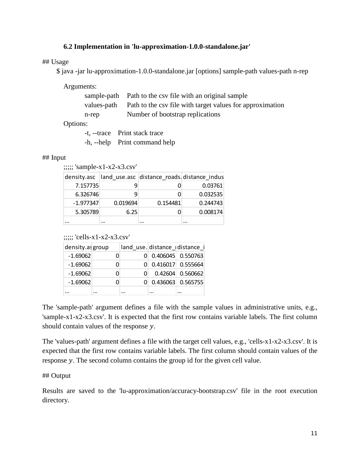# **6.2 Implementation in 'lu-approximation-1.0.0-standalone.jar'**

## Usage

\$ java -jar lu-approximation-1.0.0-standalone.jar [options] sample-path values-path n-rep

Arguments:

|       | sample-path Path to the csy file with an original sample              |
|-------|-----------------------------------------------------------------------|
|       | values-path Path to the csv file with target values for approximation |
| n-rep | Number of bootstrap replications                                      |
|       |                                                                       |

Options:

| -t, --trace Print stack trace |
|-------------------------------|
| -h, --help Print command help |

#### ## Input

 $;$ ;;;;; 'sample-x1-x2-x3.csv'

| density.asc |          | land_use.asc distance_roads.distance_indus |          |
|-------------|----------|--------------------------------------------|----------|
| 7.157735    |          |                                            | 0.03761  |
| 6.326746    | q        |                                            | 0.032535 |
| $-1.977347$ | 0.019694 | 0.154481                                   | 0.244743 |
| 5.305789    | 6.25     |                                            | 0.008174 |
|             |          |                                            |          |

 $\ldots$ ; 'cells-x1-x2-x3.csv'

| density.as group |  |                       | land_use.distance_distance_i |
|------------------|--|-----------------------|------------------------------|
| $-1.69062$       |  | $0$ 0.406045 0.550763 |                              |
| $-1.69062$       |  | $0$ 0.416017 0.555664 |                              |
| $-1.69062$       |  |                       | $0.42604$ 0.560662           |
| $-1.69062$       |  | $0$ 0.436063 0.565755 |                              |
|                  |  |                       |                              |

The 'sample-path' argument defines a file with the sample values in administrative units, e.g., 'sample-x1-x2-x3.csv'. It is expected that the first row contains variable labels. The first column should contain values of the response  $y$ .

The 'values-path' argument defines a file with the target cell values, e.g., 'cells-x1-x2-x3.csv'. It is expected that the first row contains variable labels. The first column should contain values of the response  $y$ . The second column contains the group id for the given cell value.

### ## Output

Results are saved to the 'lu-approximation/accuracy-bootstrap.csv' file in the root execution directory.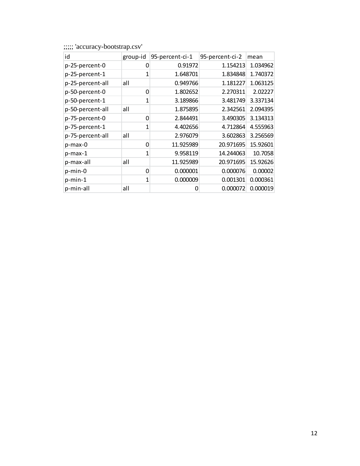| id               | group-id | 95-percent-ci-1 | 95-percent-ci-2 | mean     |
|------------------|----------|-----------------|-----------------|----------|
| p-25-percent-0   | 0        | 0.91972         | 1.154213        | 1.034962 |
| p-25-percent-1   | 1        | 1.648701        | 1.834848        | 1.740372 |
| p-25-percent-all | all      | 0.949766        | 1.181227        | 1.063125 |
| p-50-percent-0   | 0        | 1.802652        | 2.270311        | 2.02227  |
| p-50-percent-1   | 1        | 3.189866        | 3.481749        | 3.337134 |
| p-50-percent-all | all      | 1.875895        | 2.342561        | 2.094395 |
| p-75-percent-0   | 0        | 2.844491        | 3.490305        | 3.134313 |
| p-75-percent-1   | 1        | 4.402656        | 4.712864        | 4.555963 |
| p-75-percent-all | all      | 2.976079        | 3.602863        | 3.256569 |
| p-max-0          | 0        | 11.925989       | 20.971695       | 15.92601 |
| p-max-1          | 1        | 9.958119        | 14.244063       | 10.7058  |
| p-max-all        | all      | 11.925989       | 20.971695       | 15.92626 |
| p-min-0          | 0        | 0.000001        | 0.000076        | 0.00002  |
| $p$ -min-1       | 1        | 0.000009        | 0.001301        | 0.000361 |
| p-min-all        | all      | 0               | 0.000072        | 0.000019 |

;;;;; 'accuracy-bootstrap.csv'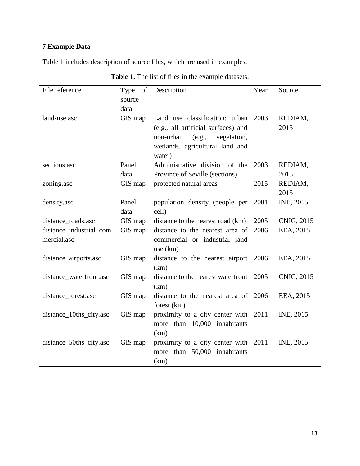# **7 Example Data**

Table 1 includes description of source files, which are used in examples.

| File reference          | source  | Type of Description                     | Year | Source     |
|-------------------------|---------|-----------------------------------------|------|------------|
|                         | data    |                                         |      |            |
| land-use.asc            | GIS map | Land use classification: urban          | 2003 | REDIAM,    |
|                         |         | (e.g., all artificial surfaces) and     |      | 2015       |
|                         |         | non-urban<br>(e.g.,<br>vegetation,      |      |            |
|                         |         | wetlands, agricultural land and         |      |            |
|                         |         | water)                                  |      |            |
| sections.asc            | Panel   | Administrative division of the          | 2003 | REDIAM,    |
|                         | data    | Province of Seville (sections)          |      | 2015       |
| zoning.asc              | GIS map | protected natural areas                 | 2015 | REDIAM,    |
|                         |         |                                         |      | 2015       |
| density.asc             | Panel   | population density (people per          | 2001 | INE, 2015  |
|                         | data    | cell)                                   |      |            |
| distance_roads.asc      | GIS map | distance to the nearest road (km)       | 2005 | CNIG, 2015 |
| distance_industrial_com | GIS map | distance to the nearest area of         | 2006 | EEA, 2015  |
| mercial.asc             |         | commercial or industrial land           |      |            |
|                         |         | use $(km)$                              |      |            |
| distance_airports.asc   | GIS map | distance to the nearest airport 2006    |      | EEA, 2015  |
|                         |         | (km)                                    |      |            |
| distance_waterfront.asc | GIS map | distance to the nearest waterfront 2005 |      | CNIG, 2015 |
|                         |         | (km)                                    |      |            |
| distance_forest.asc     | GIS map | distance to the nearest area of 2006    |      | EEA, 2015  |
|                         |         | forest (km)                             |      |            |
| distance_10ths_city.asc | GIS map | proximity to a city center with 2011    |      | INE, 2015  |
|                         |         | more than 10,000 inhabitants            |      |            |
|                         |         | (km)                                    |      |            |
| distance_50ths_city.asc | GIS map | proximity to a city center with 2011    |      | INE, 2015  |
|                         |         | more than 50,000 inhabitants            |      |            |
|                         |         | (km)                                    |      |            |

**Table 1.** The list of files in the example datasets.